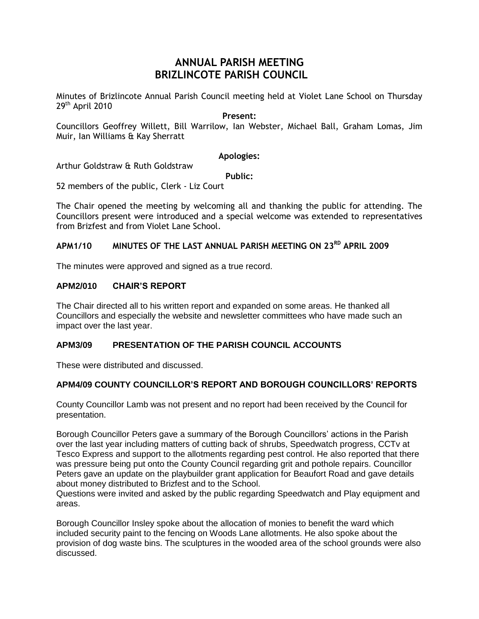# **ANNUAL PARISH MEETING BRIZLINCOTE PARISH COUNCIL**

Minutes of Brizlincote Annual Parish Council meeting held at Violet Lane School on Thursday 29<sup>th</sup> April 2010

## **Present:**

Councillors Geoffrey Willett, Bill Warrilow, Ian Webster, Michael Ball, Graham Lomas, Jim Muir, Ian Williams & Kay Sherratt

### **Apologies:**

Arthur Goldstraw & Ruth Goldstraw

**Public:**

52 members of the public, Clerk - Liz Court

The Chair opened the meeting by welcoming all and thanking the public for attending. The Councillors present were introduced and a special welcome was extended to representatives from Brizfest and from Violet Lane School.

# **APM1/10 MINUTES OF THE LAST ANNUAL PARISH MEETING ON 23 RD APRIL 2009**

The minutes were approved and signed as a true record.

## **APM2/010 CHAIR'S REPORT**

The Chair directed all to his written report and expanded on some areas. He thanked all Councillors and especially the website and newsletter committees who have made such an impact over the last year.

# **APM3/09 PRESENTATION OF THE PARISH COUNCIL ACCOUNTS**

These were distributed and discussed.

# **APM4/09 COUNTY COUNCILLOR'S REPORT AND BOROUGH COUNCILLORS' REPORTS**

County Councillor Lamb was not present and no report had been received by the Council for presentation.

Borough Councillor Peters gave a summary of the Borough Councillors' actions in the Parish over the last year including matters of cutting back of shrubs, Speedwatch progress, CCTv at Tesco Express and support to the allotments regarding pest control. He also reported that there was pressure being put onto the County Council regarding grit and pothole repairs. Councillor Peters gave an update on the playbuilder grant application for Beaufort Road and gave details about money distributed to Brizfest and to the School.

Questions were invited and asked by the public regarding Speedwatch and Play equipment and areas.

Borough Councillor Insley spoke about the allocation of monies to benefit the ward which included security paint to the fencing on Woods Lane allotments. He also spoke about the provision of dog waste bins. The sculptures in the wooded area of the school grounds were also discussed.